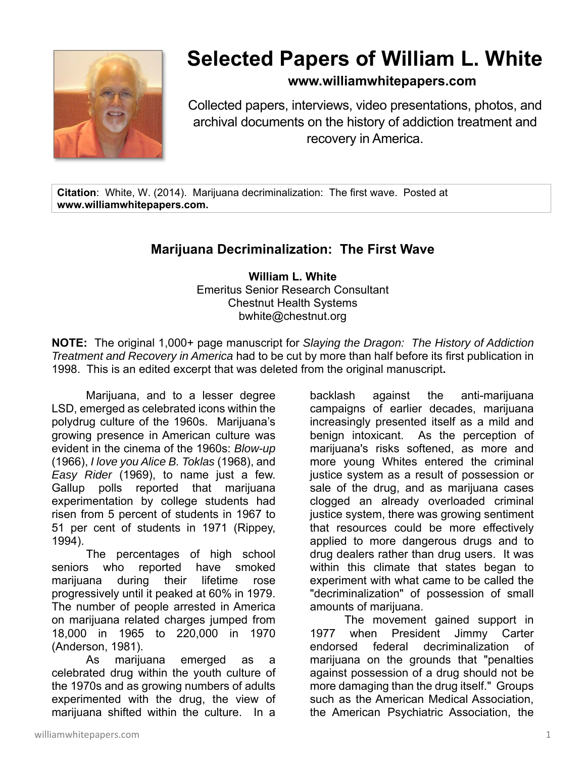

## **Selected Papers of William L. White**

## **www.williamwhitepapers.com**

Collected papers, interviews, video presentations, photos, and archival documents on the history of addiction treatment and recovery in America.

**Citation**: White, W. (2014). Marijuana decriminalization: The first wave. Posted at **www.williamwhitepapers.com.** 

## **Marijuana Decriminalization: The First Wave**

**William L. White**  Emeritus Senior Research Consultant Chestnut Health Systems bwhite@chestnut.org

**NOTE:** The original 1,000+ page manuscript for *Slaying the Dragon: The History of Addiction Treatment and Recovery in America* had to be cut by more than half before its first publication in 1998. This is an edited excerpt that was deleted from the original manuscript**.** 

Marijuana, and to a lesser degree LSD, emerged as celebrated icons within the polydrug culture of the 1960s. Marijuana's growing presence in American culture was evident in the cinema of the 1960s: *Blow-up* (1966), *I love you Alice B. Toklas* (1968), and *Easy Rider* (1969), to name just a few. Gallup polls reported that marijuana experimentation by college students had risen from 5 percent of students in 1967 to 51 per cent of students in 1971 (Rippey, 1994).

The percentages of high school seniors who reported have smoked marijuana during their lifetime rose progressively until it peaked at 60% in 1979. The number of people arrested in America on marijuana related charges jumped from 18,000 in 1965 to 220,000 in 1970 (Anderson, 1981).

 As marijuana emerged as a celebrated drug within the youth culture of the 1970s and as growing numbers of adults experimented with the drug, the view of marijuana shifted within the culture. In a

backlash against the anti-marijuana campaigns of earlier decades, marijuana increasingly presented itself as a mild and benign intoxicant. As the perception of marijuana's risks softened, as more and more young Whites entered the criminal justice system as a result of possession or sale of the drug, and as marijuana cases clogged an already overloaded criminal justice system, there was growing sentiment that resources could be more effectively applied to more dangerous drugs and to drug dealers rather than drug users. It was within this climate that states began to experiment with what came to be called the "decriminalization" of possession of small amounts of marijuana.

 The movement gained support in 1977 when President Jimmy Carter endorsed federal decriminalization of marijuana on the grounds that "penalties against possession of a drug should not be more damaging than the drug itself." Groups such as the American Medical Association, the American Psychiatric Association, the